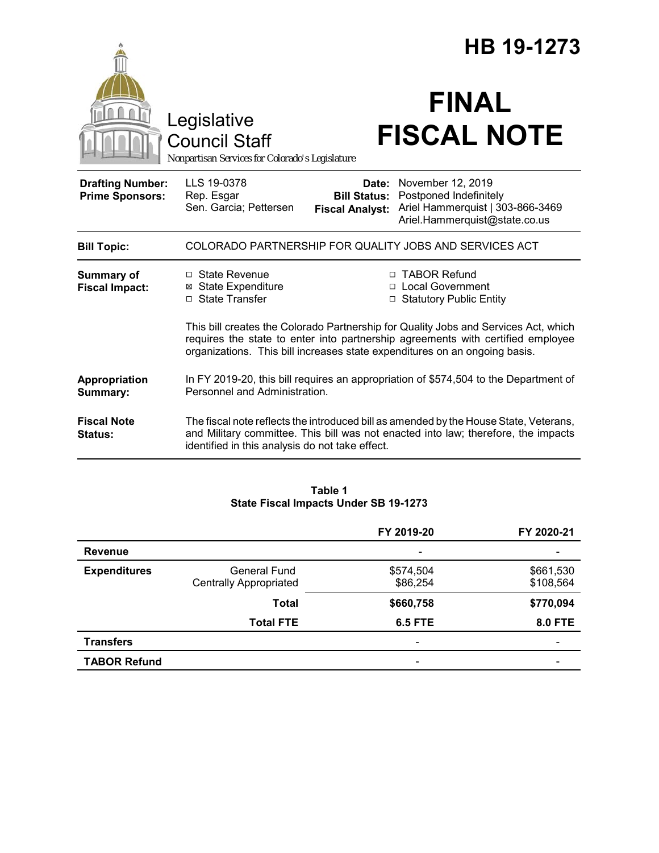|                                                   |                                                                                                                                                                                                                                                      | HB 19-1273                                             |                                                                                                                                                                             |  |
|---------------------------------------------------|------------------------------------------------------------------------------------------------------------------------------------------------------------------------------------------------------------------------------------------------------|--------------------------------------------------------|-----------------------------------------------------------------------------------------------------------------------------------------------------------------------------|--|
|                                                   | Legislative<br><b>Council Staff</b><br>Nonpartisan Services for Colorado's Legislature                                                                                                                                                               |                                                        | <b>FINAL</b><br><b>FISCAL NOTE</b>                                                                                                                                          |  |
| <b>Drafting Number:</b><br><b>Prime Sponsors:</b> | LLS 19-0378<br>Rep. Esgar<br>Sen. Garcia; Pettersen                                                                                                                                                                                                  | Date:<br><b>Bill Status:</b><br><b>Fiscal Analyst:</b> | November 12, 2019<br>Postponed Indefinitely<br>Ariel Hammerquist   303-866-3469<br>Ariel.Hammerquist@state.co.us                                                            |  |
| <b>Bill Topic:</b>                                | COLORADO PARTNERSHIP FOR QUALITY JOBS AND SERVICES ACT                                                                                                                                                                                               |                                                        |                                                                                                                                                                             |  |
| <b>Summary of</b><br><b>Fiscal Impact:</b>        | □ State Revenue<br><b>⊠ State Expenditure</b><br>□ State Transfer                                                                                                                                                                                    |                                                        | □ TABOR Refund<br>□ Local Government<br>□ Statutory Public Entity                                                                                                           |  |
|                                                   | This bill creates the Colorado Partnership for Quality Jobs and Services Act, which<br>requires the state to enter into partnership agreements with certified employee<br>organizations. This bill increases state expenditures on an ongoing basis. |                                                        |                                                                                                                                                                             |  |
| Appropriation<br>Summary:                         | In FY 2019-20, this bill requires an appropriation of \$574,504 to the Department of<br>Personnel and Administration.                                                                                                                                |                                                        |                                                                                                                                                                             |  |
| <b>Fiscal Note</b><br>Status:                     | identified in this analysis do not take effect.                                                                                                                                                                                                      |                                                        | The fiscal note reflects the introduced bill as amended by the House State, Veterans,<br>and Military committee. This bill was not enacted into law; therefore, the impacts |  |

### **Table 1 State Fiscal Impacts Under SB 19-1273**

|                     |                               | FY 2019-20               | FY 2020-21     |
|---------------------|-------------------------------|--------------------------|----------------|
| <b>Revenue</b>      |                               | $\overline{\phantom{0}}$ |                |
| <b>Expenditures</b> | General Fund                  | \$574,504                | \$661,530      |
|                     | <b>Centrally Appropriated</b> | \$86,254                 | \$108,564      |
|                     | <b>Total</b>                  | \$660,758                | \$770,094      |
|                     | <b>Total FTE</b>              | <b>6.5 FTE</b>           | <b>8.0 FTE</b> |
| <b>Transfers</b>    |                               |                          |                |
| <b>TABOR Refund</b> |                               |                          |                |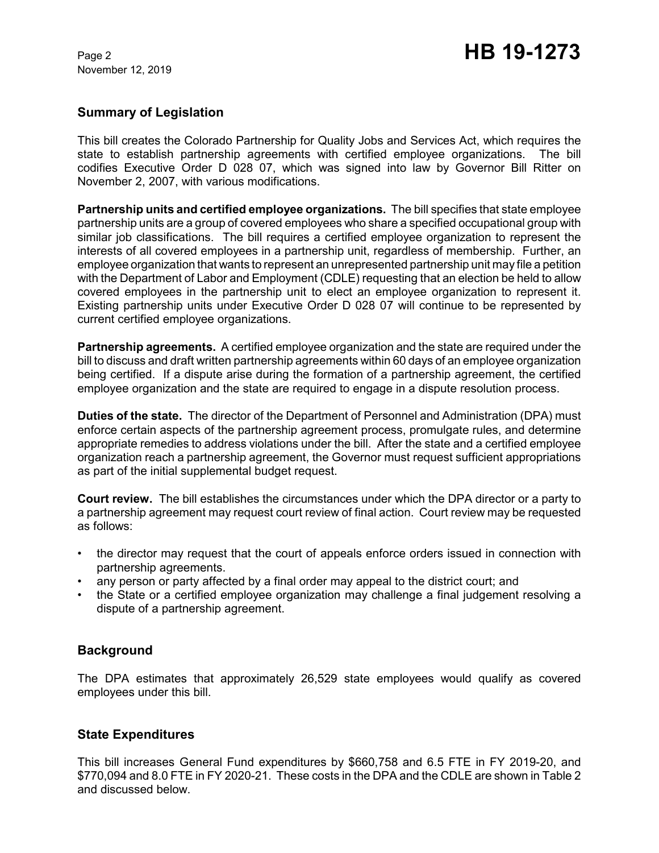November 12, 2019

### **Summary of Legislation**

This bill creates the Colorado Partnership for Quality Jobs and Services Act, which requires the state to establish partnership agreements with certified employee organizations. The bill codifies Executive Order D 028 07, which was signed into law by Governor Bill Ritter on November 2, 2007, with various modifications.

**Partnership units and certified employee organizations.** The bill specifies that state employee partnership units are a group of covered employees who share a specified occupational group with similar job classifications. The bill requires a certified employee organization to represent the interests of all covered employees in a partnership unit, regardless of membership. Further, an employee organization that wants to represent an unrepresented partnership unit may file a petition with the Department of Labor and Employment (CDLE) requesting that an election be held to allow covered employees in the partnership unit to elect an employee organization to represent it. Existing partnership units under Executive Order D 028 07 will continue to be represented by current certified employee organizations.

**Partnership agreements.** A certified employee organization and the state are required under the bill to discuss and draft written partnership agreements within 60 days of an employee organization being certified. If a dispute arise during the formation of a partnership agreement, the certified employee organization and the state are required to engage in a dispute resolution process.

**Duties of the state.** The director of the Department of Personnel and Administration (DPA) must enforce certain aspects of the partnership agreement process, promulgate rules, and determine appropriate remedies to address violations under the bill. After the state and a certified employee organization reach a partnership agreement, the Governor must request sufficient appropriations as part of the initial supplemental budget request.

**Court review.** The bill establishes the circumstances under which the DPA director or a party to a partnership agreement may request court review of final action. Court review may be requested as follows:

- the director may request that the court of appeals enforce orders issued in connection with partnership agreements.
- any person or party affected by a final order may appeal to the district court; and
- the State or a certified employee organization may challenge a final judgement resolving a dispute of a partnership agreement.

# **Background**

The DPA estimates that approximately 26,529 state employees would qualify as covered employees under this bill.

### **State Expenditures**

This bill increases General Fund expenditures by \$660,758 and 6.5 FTE in FY 2019-20, and \$770,094 and 8.0 FTE in FY 2020-21. These costs in the DPA and the CDLE are shown in Table 2 and discussed below.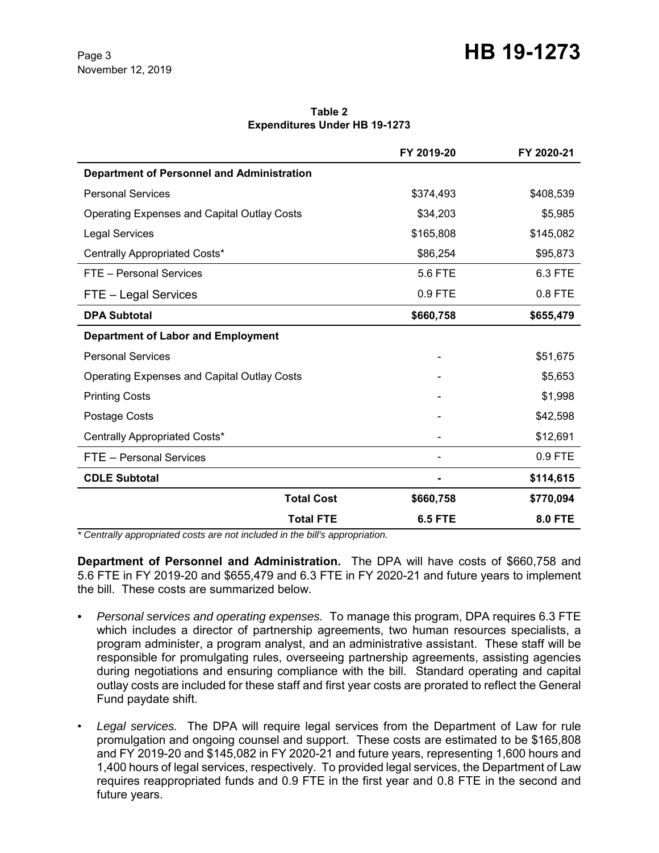# Page 3 **HB 19-1273**

#### **Table 2 Expenditures Under HB 19-1273**

|                                                    |                   | FY 2019-20     | FY 2020-21     |
|----------------------------------------------------|-------------------|----------------|----------------|
| <b>Department of Personnel and Administration</b>  |                   |                |                |
| <b>Personal Services</b>                           |                   | \$374,493      | \$408,539      |
| <b>Operating Expenses and Capital Outlay Costs</b> |                   | \$34,203       | \$5,985        |
| <b>Legal Services</b>                              |                   | \$165,808      | \$145,082      |
| Centrally Appropriated Costs*                      |                   | \$86,254       | \$95,873       |
| FTE - Personal Services                            |                   | 5.6 FTE        | 6.3 FTE        |
| FTE - Legal Services                               |                   | 0.9 FTE        | 0.8 FTE        |
| <b>DPA Subtotal</b>                                |                   | \$660,758      | \$655,479      |
| <b>Department of Labor and Employment</b>          |                   |                |                |
| <b>Personal Services</b>                           |                   |                | \$51,675       |
| <b>Operating Expenses and Capital Outlay Costs</b> |                   |                | \$5,653        |
| <b>Printing Costs</b>                              |                   |                | \$1,998        |
| Postage Costs                                      |                   |                | \$42,598       |
| Centrally Appropriated Costs*                      |                   |                | \$12,691       |
| FTE - Personal Services                            |                   |                | 0.9 FTE        |
| <b>CDLE Subtotal</b>                               |                   |                | \$114,615      |
|                                                    | <b>Total Cost</b> | \$660,758      | \$770,094      |
|                                                    | <b>Total FTE</b>  | <b>6.5 FTE</b> | <b>8.0 FTE</b> |

*\* Centrally appropriated costs are not included in the bill's appropriation.*

**Department of Personnel and Administration.** The DPA will have costs of \$660,758 and 5.6 FTE in FY 2019-20 and \$655,479 and 6.3 FTE in FY 2020-21 and future years to implement the bill. These costs are summarized below.

- *Personal services and operating expenses.* To manage this program, DPA requires 6.3 FTE which includes a director of partnership agreements, two human resources specialists, a program administer, a program analyst, and an administrative assistant. These staff will be responsible for promulgating rules, overseeing partnership agreements, assisting agencies during negotiations and ensuring compliance with the bill. Standard operating and capital outlay costs are included for these staff and first year costs are prorated to reflect the General Fund paydate shift.
- *Legal services.* The DPA will require legal services from the Department of Law for rule promulgation and ongoing counsel and support. These costs are estimated to be \$165,808 and FY 2019-20 and \$145,082 in FY 2020-21 and future years, representing 1,600 hours and 1,400 hours of legal services, respectively. To provided legal services, the Department of Law requires reappropriated funds and 0.9 FTE in the first year and 0.8 FTE in the second and future years.